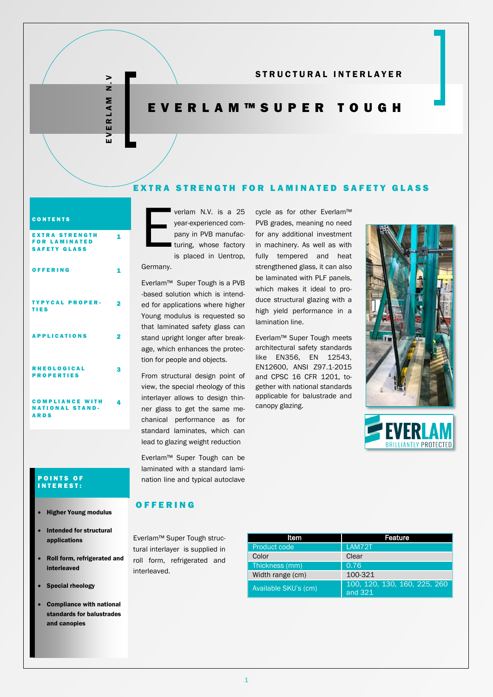E V E R L A M N . V RLAM ū  $\geq$ 

 $\overline{ }$  $\frac{1}{z}$ 

### STRUCTURAL INTERLAYER

# E V E R L A M ™ S U P E R T O U G H

### EXTRA STRENGTH FOR LAMINATED SAFETY GLASS

#### **CONTENTS**

| <b>EXTRA STRENGTH</b><br><b>FOR LAMINATED</b><br><b>SAFETY GLASS</b> |   |
|----------------------------------------------------------------------|---|
| OFFERING                                                             |   |
| <b>TYPYCAL PROPER-</b><br>TIES                                       | 2 |
| <b>APPLICATIONS</b>                                                  |   |
| <b>RHEOLOGICAL</b><br><b>PROPERTIES</b>                              | 2 |
| <b>COMPLIANCE WITH</b>                                               |   |

#### **POINTS OF** I N T E R E S T :

NATIONAL STAND-

A R D S

- Higher Young modulus
- Intended for structural applications
- Roll form, refrigerated and interleaved
- Special rheology
- Compliance with national standards for balustrades and canopies

E verlam N.V. is a 25 year-experienced company in PVB manufac-I turing, whose factory is placed in Uentrop,

Germany.

Everlam™ Super Tough is a PVB -based solution which is intended for applications where higher Young modulus is requested so that laminated safety glass can stand upright longer after breakage, which enhances the protection for people and objects.

From structural design point of view, the special rheology of this interlayer allows to design thinner glass to get the same mechanical performance as for standard laminates, which can lead to glazing weight reduction

laminated with a standard lamination line and typical autoclave

Everlam™ Super Tough can be

cycle as for other Everlam™ PVB grades, meaning no need for any additional investment in machinery. As well as with fully tempered and heat strengthened glass, it can also be laminated with PLF panels, which makes it ideal to produce structural glazing with a high yield performance in a lamination line.

Everlam™ Super Tough meets architectural safety standards like EN356, EN 12543, EN12600, ANSI Z97.1-2015 and CPSC 16 CFR 1201, together with national standards applicable for balustrade and canopy glazing.





## O F F E R I N G

Everlam™ Super Tough structural interlayer is supplied in roll form, refrigerated and interleaved.

| ltem                 | Feature                                 |
|----------------------|-----------------------------------------|
| Product code         | LAM72T                                  |
| Color                | Clear                                   |
| Thickness (mm)       | 0.76                                    |
| Width range (cm)     | 100-321                                 |
| Available SKU's (cm) | 100, 120, 130, 160, 225, 260<br>and 321 |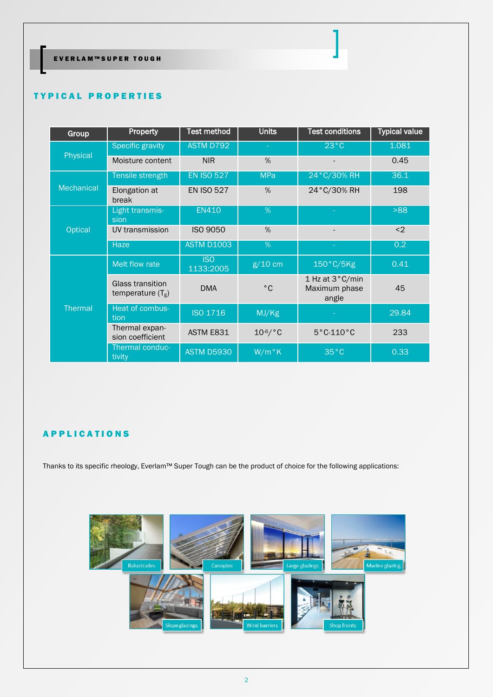EVERLAM™SUPER TOUGH

### **TYPICAL PROPERTIES**

| Group             | <b>Property</b>                         | <b>Test method</b>      | <b>Units</b>  | <b>Test conditions</b>                    | <b>Typical value</b> |  |
|-------------------|-----------------------------------------|-------------------------|---------------|-------------------------------------------|----------------------|--|
| Physical          | <b>Specific gravity</b>                 | ASTM D792               | $\sim$        | $23^{\circ}$ C                            | 1.081                |  |
|                   | Moisture content                        | <b>NIR</b>              | %             |                                           | 0.45                 |  |
|                   | Tensile strength                        | <b>EN ISO 527</b>       | <b>MPa</b>    | 24°C/30% RH                               | 36.1                 |  |
| <b>Mechanical</b> | Elongation at<br>break                  | <b>EN ISO 527</b>       | %             | 24°C/30% RH                               | 198                  |  |
|                   | Light transmis-<br>sion                 | <b>EN410</b>            | %             |                                           | >88                  |  |
| <b>Optical</b>    | UV transmission                         | <b>ISO 9050</b>         | %             |                                           | $2$                  |  |
|                   | <b>Haze</b>                             | <b>ASTM D1003</b>       | %             |                                           | 0.2                  |  |
| <b>Thermal</b>    | Melt flow rate                          | <b>ISO</b><br>1133:2005 | $g/10$ cm     | 150°C/5Kg                                 | 0.41                 |  |
|                   | Glass transition<br>temperature $(T_g)$ | <b>DMA</b>              | $^{\circ}$ C  | 1 Hz at 3°C/min<br>Maximum phase<br>angle | 45                   |  |
|                   | Heat of combus-<br>tion                 | <b>ISO 1716</b>         | MJ/Kg         |                                           | 29.84                |  |
|                   | Thermal expan-<br>sion coefficient      | ASTM E831               | $10^{-6}$ /°C | $5^{\circ}$ C-110 $^{\circ}$ C            | 233                  |  |
|                   | Thermal conduc-<br>tivity               | <b>ASTM D5930</b>       | $W/m$ °K      | $35^{\circ}$ C                            | 0.33                 |  |

# A P P L I C A T I O N S

Thanks to its specific rheology, Everlam™ Super Tough can be the product of choice for the following applications:

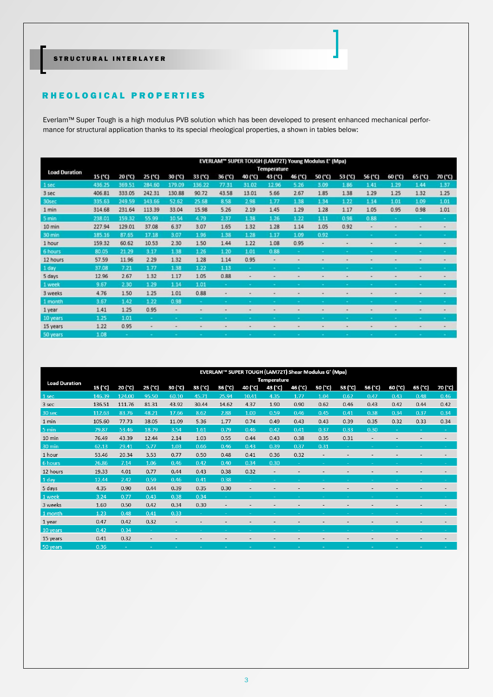## STRUCTURAL INTERLAYER

### R H E O L O G I CAL PROPERTIES

Everlam™ Super Tough is a high modulus PVB solution which has been developed to present enhanced mechanical performance for structural application thanks to its special rheological properties, a shown in tables below:

|                      | EVERLAM" SUPER TOUGH (LAM72T) Young Modulus E' (Mpa) |         |                 |                          |         |         |         |         |         |         |                          |                          |         |         |                          |
|----------------------|------------------------------------------------------|---------|-----------------|--------------------------|---------|---------|---------|---------|---------|---------|--------------------------|--------------------------|---------|---------|--------------------------|
| <b>Load Duration</b> | <b>Temperature</b>                                   |         |                 |                          |         |         |         |         |         |         |                          |                          |         |         |                          |
|                      | 15 (°C)                                              | 20 (°C) | $25(^{\circ}C)$ | 30 (°C)                  | 33 (°C) | 36 (°C) | 40 (°C) | 43 (°C) | 46 (°C) | 50 (°C) | 53 (°C)                  | 56 (°C)                  | 60 (°C) | 65 (°C) | 70 (°C)                  |
| 1 sec                | 436.25                                               | 369.51  | 284.60          | 179.09                   | 136.22  | 77.31   | 31.02   | 12.96   | 5.26    | 3.09    | 1.86                     | 1.41                     | 1.29    | 1.44    | 1.37                     |
| 3 sec                | 406.81                                               | 333.05  | 242.31          | 130.88                   | 90.72   | 43.58   | 13.01   | 5.66    | 2.67    | 1.85    | 1.38                     | 1.29                     | 1.25    | 1.32    | 1.25                     |
| 30sec                | 335.63                                               | 249.59  | 143.66          | 52.62                    | 25.68   | 8.58    | 2.98    | 1.77    | 1.38    | 1.34    | 1.22                     | 1.14                     | 1.01    | 1.09    | 1.01                     |
| 1 min                | 314.68                                               | 231.64  | 113.39          | 33.04                    | 15.98   | 5.26    | 2.19    | 1.45    | 1.29    | 1.28    | 1.17                     | 1.05                     | 0.95    | 0.98    | 1.01                     |
| 5 min                | 238.01                                               | 159.32  | 55.99           | 10.54                    | 4.79    | 2.37    | 1.38    | 1.26    | 1.22    | 1.11    | 0.98                     | 0.88                     |         |         |                          |
| 10 min               | 227.94                                               | 129.01  | 37.08           | 6.37                     | 3.07    | 1.65    | 1.32    | 1.28    | 1.14    | 1.05    | 0.92                     | $\frac{1}{2}$            |         | ۰       | $\overline{\phantom{a}}$ |
| 30 min               | 185.16                                               | 87.65   | 17.18           | 3.07                     | 1.96    | 1.38    | 1.28    | 1.17    | 1.09    | 0.92    |                          |                          |         | ÷       |                          |
| 1 hour               | 159.32                                               | 60.62   | 10.53           | 2.30                     | 1.50    | 1.44    | 1.22    | 1.08    | 0.95    |         |                          |                          |         |         |                          |
| 6 hours              | 80.05                                                | 21.29   | 3.17            | 1.38                     | 1.26    | 1.20    | 1.01    | 0.88    |         |         |                          |                          |         |         |                          |
| 12 hours             | 57.59                                                | 11.96   | 2.29            | 1.32                     | 1.28    | 1.14    | 0.95    | ۰       |         |         | $\overline{\phantom{a}}$ |                          |         | ۰       | $\overline{\phantom{a}}$ |
| 1 day                | 37.08                                                | 7.21    | 1.77            | 1.38                     | 1.22    | 1.13    |         |         |         |         |                          |                          |         |         |                          |
| 5 days               | 12.96                                                | 2.67    | 1.32            | 1.17                     | 1.05    | 0.88    | ٠       |         |         |         |                          | $\overline{\phantom{a}}$ |         | ۰       |                          |
| 1 week               | 9.67                                                 | 2.30    | 1.29            | 1.14                     | 1.01    |         |         |         |         |         |                          |                          |         |         |                          |
| 3 weeks              | 4.76                                                 | 1.50    | 1.25            | 1.01                     | 0.88    |         |         |         |         |         |                          |                          |         |         |                          |
| 1 month              | 3.67                                                 | 1.42    | 1.22            | 0.98                     |         |         |         |         |         |         |                          |                          |         |         |                          |
| 1 year               | 1.41                                                 | 1.25    | 0.95            | $\overline{\phantom{a}}$ |         |         |         |         |         |         |                          |                          |         |         |                          |
| 10 years             | 1.25                                                 | 1.01    |                 |                          |         |         |         |         |         |         |                          |                          |         |         |                          |
| 15 years             | 1.22                                                 | 0.95    |                 |                          |         |         |         |         |         |         |                          |                          |         |         |                          |
| 50 years             | 1.08                                                 |         |                 |                          |         |         |         |         |         |         |                          |                          |         |         |                          |

|                      | EVERLAM™ SUPER TOUGH (LAM72T) Shear Modulus G' (Mpa) |         |         |         |         |                          |                          |                    |         |                          |         |         |         |                          |         |
|----------------------|------------------------------------------------------|---------|---------|---------|---------|--------------------------|--------------------------|--------------------|---------|--------------------------|---------|---------|---------|--------------------------|---------|
| <b>Load Duration</b> |                                                      |         |         |         |         |                          |                          | <b>Temperature</b> |         |                          |         |         |         |                          |         |
|                      | 15 (°C)                                              | 20 (°C) | 25 (°C) | 30 (°C) | 33 (°C) | 36 (°C)                  | 40 (°C)                  | 43 (°C)            | 46 (°C) | 50 (°C)                  | 53 (°C) | 56 (°C) | 60 (°C) | 65 (°C)                  | 70 (°C) |
| 1 sec                | 146.39                                               | 124.00  | 95.50   | 60.10   | 45.71   | 25.94                    | 10.41                    | 4.35               | 1.77    | 1.04                     | 0.62    | 0.47    | 0.43    | 0.48                     | 0.46    |
| 3 sec                | 136.51                                               | 111.76  | 81.31   | 43.92   | 30.44   | 14.62                    | 4.37                     | 1.90               | 0.90    | 0.62                     | 0.46    | 0.43    | 0.42    | 0.44                     | 0.42    |
| 30 sec               | 112.63                                               | 83.76   | 48.21   | 17.66   | 8.62    | 2.88                     | 1.00                     | 0.59               | 0.46    | 0.45                     | 0.41    | 0.38    | 0.34    | 0.37                     | 0.34    |
| 1 min                | 105.60                                               | 77.73   | 38.05   | 11.09   | 5.36    | 1.77                     | 0.74                     | 0.49               | 0.43    | 0.43                     | 0.39    | 0.35    | 0.32    | 0.33                     | 0.34    |
| 5 min                | 79.87                                                | 53.46   | 18.79   | 3.54    | 1.61    | 0.79                     | 0.46                     | 0.42               | 0.41    | 0.37                     | 0.33    | 0.30    |         | $\overline{\phantom{a}}$ | ÷       |
| 10 min               | 76.49                                                | 43.39   | 12.44   | 2.14    | 1.03    | 0.55                     | 0.44                     | 0.43               | 0.38    | 0.35                     | 0.31    |         |         |                          |         |
| 30 min               | 62.13                                                | 29.41   | 5.77    | 1.03    | 0.66    | 0.46                     | 0.43                     | 0.39               | 0.37    | 0.31                     |         |         |         |                          | ÷.      |
| 1 hour               | 53.46                                                | 20.34   | 3.53    | 0.77    | 0.50    | 0.48                     | 0.41                     | 0.36               | 0.32    | $\overline{\phantom{a}}$ |         |         |         |                          |         |
| 6 hours              | 26.86                                                | 7.14    | 1.06    | 0.46    | 0.42    | 0.40                     | 0.34                     | 0.30               |         |                          |         |         |         |                          |         |
| 12 hours             | 19.33                                                | 4.01    | 0.77    | 0.44    | 0.43    | 0.38                     | 0.32                     |                    |         |                          |         |         |         |                          |         |
| 1 day                | 12.44                                                | 2.42    | 0.59    | 0.46    | 0.41    | 0.38                     | $\overline{\phantom{a}}$ |                    |         |                          |         |         |         |                          |         |
| 5 days               | 4.35                                                 | 0.90    | 0.44    | 0.39    | 0.35    | 0.30                     |                          |                    |         |                          |         |         |         |                          |         |
| 1 week               | 3.24                                                 | 0.77    | 0.43    | 0.38    | 0.34    | $\sim$                   |                          |                    |         |                          |         |         |         |                          |         |
| 3 weeks              | 1.60                                                 | 0.50    | 0.42    | 0.34    | 0.30    | $\overline{\phantom{a}}$ |                          |                    |         |                          |         |         |         |                          |         |
| 1 month              | 1.23                                                 | 0.48    | 0.41    | 0.33    | $\sim$  |                          |                          |                    |         |                          |         |         |         |                          | $\sim$  |
| 1 year               | 0.47                                                 | 0.42    | 0.32    |         |         |                          |                          |                    |         |                          |         |         |         |                          |         |
| 10 years             | 0.42                                                 | 0.34    |         |         |         |                          |                          |                    |         |                          |         |         |         |                          |         |
| 15 years             | 0.41                                                 | 0.32    |         |         |         |                          |                          |                    |         |                          |         |         |         |                          |         |
| 50 years             | 0.36                                                 |         |         |         |         |                          |                          |                    |         |                          |         |         |         |                          |         |